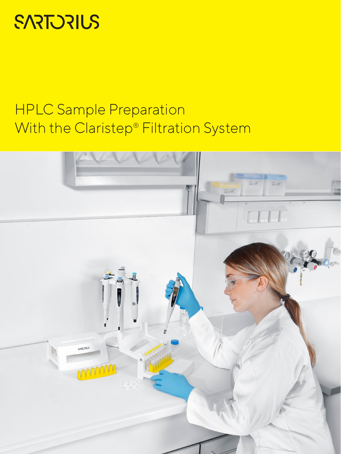# **SARTORIUS**

## HPLC Sample Preparation With the Claristep® Filtration System

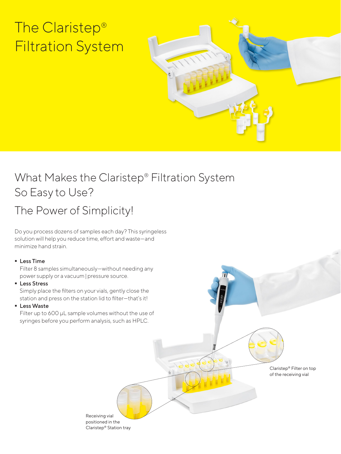# The Claristep® Filtration System



Claristep® Filter on top of the receiving vial

#### What Makes the Claristep® Filtration System So Easy to Use?

### The Power of Simplicity!

Do you process dozens of samples each day? This syringeless solution will help you reduce time, effort and waste—and minimize hand strain.

#### **Less Time**

Filter 8 samples simultaneously—without needing any power supply or a vacuum|pressure source.

**Less Stress** 

Simply place the filters on your vials, gently close the station and press on the station lid to filter—that's it!

**Less Waste** 

Filter up to 600 μL sample volumes without the use of syringes before you perform analysis, such as HPLC.

> Receiving vial positioned in the

Claristep® Station tray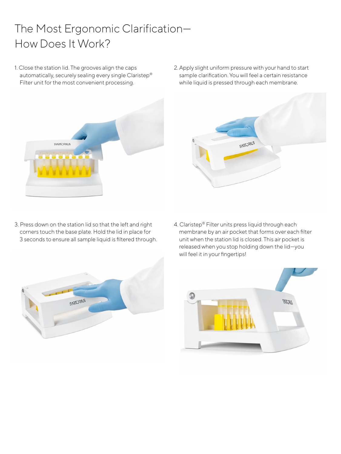### The Most Ergonomic Clarification— How Does It Work?

- 1. Close the station lid. The grooves align the caps automatically, securely sealing every single Claristep® Filter unit for the most convenient processing.
	- **SARTORIUS**
- 2. Apply slight uniform pressure with your hand to start sample clarification. You will feel a certain resistance while liquid is pressed through each membrane.



- 3. Press down on the station lid so that the left and right corners touch the base plate. Hold the lid in place for 3 seconds to ensure all sample liquid is filtered through.
- 4. Claristep® Filter units press liquid through each membrane by an air pocket that forms over each filter unit when the station lid is closed. This air pocket is released when you stop holding down the lid—you will feel it in your fingertips!